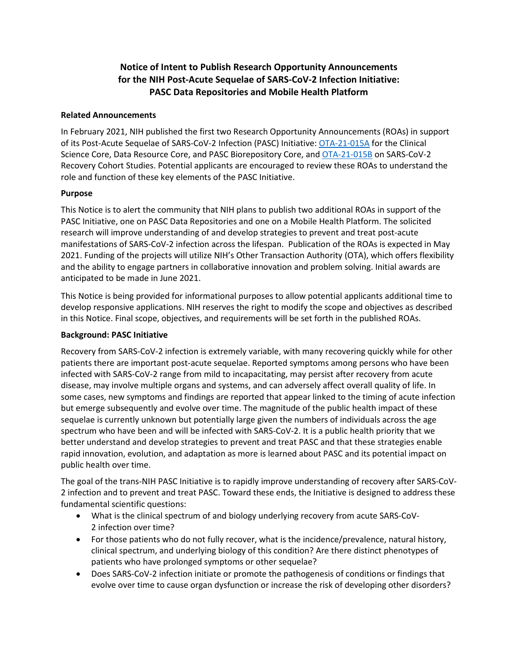# **Notice of Intent to Publish Research Opportunity Announcements for the NIH Post-Acute Sequelae of SARS-CoV-2 Infection Initiative: PASC Data Repositories and Mobile Health Platform**

### **Related Announcements**

In February 2021, NIH published the first two Research Opportunity Announcements (ROAs) in support of its Post-Acute Sequelae of SARS-CoV-2 Infection (PASC) Initiative: [OTA-21-015A](https://covid19.nih.gov/sites/default/files/2021-02/PASC-ROA-OTA-3-Cores.pdf) for the Clinical Science Core, Data Resource Core, and PASC Biorepository Core, and [OTA-21-015B](https://covid19.nih.gov/sites/default/files/2021-02/PASC-ROA-OTA-Recovery-Cohort-Studies.pdf) on SARS-CoV-2 Recovery Cohort Studies. Potential applicants are encouraged to review these ROAs to understand the role and function of these key elements of the PASC Initiative.

## **Purpose**

This Notice is to alert the community that NIH plans to publish two additional ROAs in support of the PASC Initiative, one on PASC Data Repositories and one on a Mobile Health Platform. The solicited research will improve understanding of and develop strategies to prevent and treat post-acute manifestations of SARS-CoV-2 infection across the lifespan. Publication of the ROAs is expected in May 2021. Funding of the projects will utilize NIH's Other Transaction Authority (OTA), which offers flexibility and the ability to engage partners in collaborative innovation and problem solving. Initial awards are anticipated to be made in June 2021.

This Notice is being provided for informational purposes to allow potential applicants additional time to develop responsive applications. NIH reserves the right to modify the scope and objectives as described in this Notice. Final scope, objectives, and requirements will be set forth in the published ROAs.

## **Background: PASC Initiative**

Recovery from SARS-CoV-2 infection is extremely variable, with many recovering quickly while for other patients there are important post-acute sequelae. Reported symptoms among persons who have been infected with SARS-CoV-2 range from mild to incapacitating, may persist after recovery from acute disease, may involve multiple organs and systems, and can adversely affect overall quality of life. In some cases, new symptoms and findings are reported that appear linked to the timing of acute infection but emerge subsequently and evolve over time. The magnitude of the public health impact of these sequelae is currently unknown but potentially large given the numbers of individuals across the age spectrum who have been and will be infected with SARS-CoV-2. It is a public health priority that we better understand and develop strategies to prevent and treat PASC and that these strategies enable rapid innovation, evolution, and adaptation as more is learned about PASC and its potential impact on public health over time.

The goal of the trans-NIH PASC Initiative is to rapidly improve understanding of recovery after SARS-CoV-2 infection and to prevent and treat PASC. Toward these ends, the Initiative is designed to address these fundamental scientific questions:

- What is the clinical spectrum of and biology underlying recovery from acute SARS-CoV-2 infection over time?
- For those patients who do not fully recover, what is the incidence/prevalence, natural history, clinical spectrum, and underlying biology of this condition? Are there distinct phenotypes of patients who have prolonged symptoms or other sequelae?
- Does SARS-CoV-2 infection initiate or promote the pathogenesis of conditions or findings that evolve over time to cause organ dysfunction or increase the risk of developing other disorders?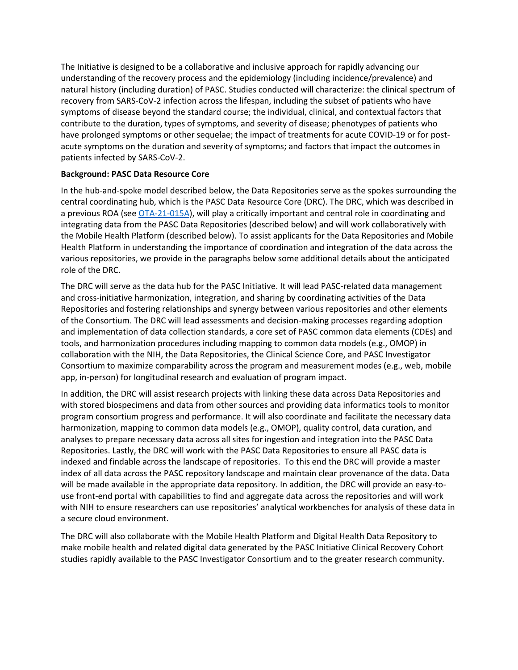The Initiative is designed to be a collaborative and inclusive approach for rapidly advancing our understanding of the recovery process and the epidemiology (including incidence/prevalence) and natural history (including duration) of PASC. Studies conducted will characterize: the clinical spectrum of recovery from SARS-CoV-2 infection across the lifespan, including the subset of patients who have symptoms of disease beyond the standard course; the individual, clinical, and contextual factors that contribute to the duration, types of symptoms, and severity of disease; phenotypes of patients who have prolonged symptoms or other sequelae; the impact of treatments for acute COVID-19 or for postacute symptoms on the duration and severity of symptoms; and factors that impact the outcomes in patients infected by SARS-CoV-2.

### **Background: PASC Data Resource Core**

In the hub-and-spoke model described below, the Data Repositories serve as the spokes surrounding the central coordinating hub, which is the PASC Data Resource Core (DRC). The DRC, which was described in a previous ROA (see [OTA-21-015A\)](https://covid19.nih.gov/sites/default/files/2021-02/PASC-ROA-OTA-3-Cores.pdf), will play a critically important and central role in coordinating and integrating data from the PASC Data Repositories (described below) and will work collaboratively with the Mobile Health Platform (described below). To assist applicants for the Data Repositories and Mobile Health Platform in understanding the importance of coordination and integration of the data across the various repositories, we provide in the paragraphs below some additional details about the anticipated role of the DRC.

The DRC will serve as the data hub for the PASC Initiative. It will lead PASC-related data management and cross-initiative harmonization, integration, and sharing by coordinating activities of the Data Repositories and fostering relationships and synergy between various repositories and other elements of the Consortium. The DRC will lead assessments and decision-making processes regarding adoption and implementation of data collection standards, a core set of PASC common data elements (CDEs) and tools, and harmonization procedures including mapping to common data models (e.g., OMOP) in collaboration with the NIH, the Data Repositories, the Clinical Science Core, and PASC Investigator Consortium to maximize comparability across the program and measurement modes (e.g., web, mobile app, in-person) for longitudinal research and evaluation of program impact.

In addition, the DRC will assist research projects with linking these data across Data Repositories and with stored biospecimens and data from other sources and providing data informatics tools to monitor program consortium progress and performance. It will also coordinate and facilitate the necessary data harmonization, mapping to common data models (e.g., OMOP), quality control, data curation, and analyses to prepare necessary data across all sites for ingestion and integration into the PASC Data Repositories. Lastly, the DRC will work with the PASC Data Repositories to ensure all PASC data is indexed and findable across the landscape of repositories. To this end the DRC will provide a master index of all data across the PASC repository landscape and maintain clear provenance of the data. Data will be made available in the appropriate data repository. In addition, the DRC will provide an easy-touse front-end portal with capabilities to find and aggregate data across the repositories and will work with NIH to ensure researchers can use repositories' analytical workbenches for analysis of these data in a secure cloud environment.

The DRC will also collaborate with the Mobile Health Platform and Digital Health Data Repository to make mobile health and related digital data generated by the PASC Initiative Clinical Recovery Cohort studies rapidly available to the PASC Investigator Consortium and to the greater research community.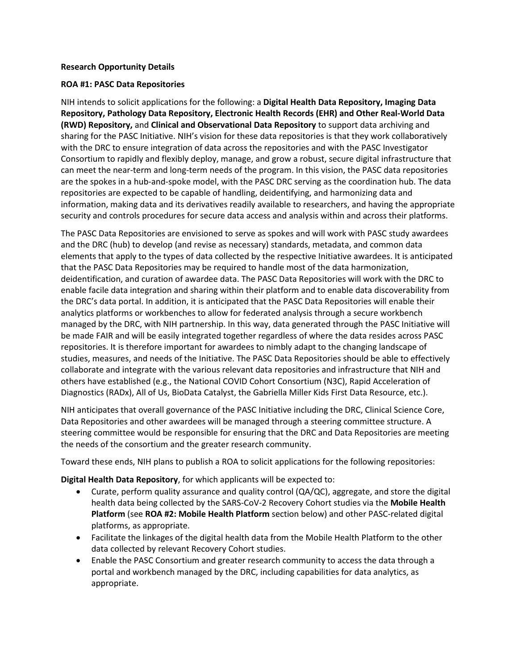#### **Research Opportunity Details**

#### **ROA #1: PASC Data Repositories**

NIH intends to solicit applications for the following: a **Digital Health Data Repository, Imaging Data Repository, Pathology Data Repository, Electronic Health Records (EHR) and Other Real-World Data (RWD) Repository,** and **Clinical and Observational Data Repository** to support data archiving and sharing for the PASC Initiative. NIH's vision for these data repositories is that they work collaboratively with the DRC to ensure integration of data across the repositories and with the PASC Investigator Consortium to rapidly and flexibly deploy, manage, and grow a robust, secure digital infrastructure that can meet the near-term and long-term needs of the program. In this vision, the PASC data repositories are the spokes in a hub-and-spoke model, with the PASC DRC serving as the coordination hub. The data repositories are expected to be capable of handling, deidentifying, and harmonizing data and information, making data and its derivatives readily available to researchers, and having the appropriate security and controls procedures for secure data access and analysis within and across their platforms.

The PASC Data Repositories are envisioned to serve as spokes and will work with PASC study awardees and the DRC (hub) to develop (and revise as necessary) standards, metadata, and common data elements that apply to the types of data collected by the respective Initiative awardees. It is anticipated that the PASC Data Repositories may be required to handle most of the data harmonization, deidentification, and curation of awardee data. The PASC Data Repositories will work with the DRC to enable facile data integration and sharing within their platform and to enable data discoverability from the DRC's data portal. In addition, it is anticipated that the PASC Data Repositories will enable their analytics platforms or workbenches to allow for federated analysis through a secure workbench managed by the DRC, with NIH partnership. In this way, data generated through the PASC Initiative will be made FAIR and will be easily integrated together regardless of where the data resides across PASC repositories. It is therefore important for awardees to nimbly adapt to the changing landscape of studies, measures, and needs of the Initiative. The PASC Data Repositories should be able to effectively collaborate and integrate with the various relevant data repositories and infrastructure that NIH and others have established (e.g., the National COVID Cohort Consortium (N3C), Rapid Acceleration of Diagnostics (RADx), All of Us, BioData Catalyst, the Gabriella Miller Kids First Data Resource, etc.).

NIH anticipates that overall governance of the PASC Initiative including the DRC, Clinical Science Core, Data Repositories and other awardees will be managed through a steering committee structure. A steering committee would be responsible for ensuring that the DRC and Data Repositories are meeting the needs of the consortium and the greater research community.

Toward these ends, NIH plans to publish a ROA to solicit applications for the following repositories:

**Digital Health Data Repository**, for which applicants will be expected to:

- Curate, perform quality assurance and quality control (QA/QC), aggregate, and store the digital health data being collected by the SARS-CoV-2 Recovery Cohort studies via the **Mobile Health Platform** (see **ROA #2: Mobile Health Platform** section below) and other PASC-related digital platforms, as appropriate.
- Facilitate the linkages of the digital health data from the Mobile Health Platform to the other data collected by relevant Recovery Cohort studies.
- Enable the PASC Consortium and greater research community to access the data through a portal and workbench managed by the DRC, including capabilities for data analytics, as appropriate.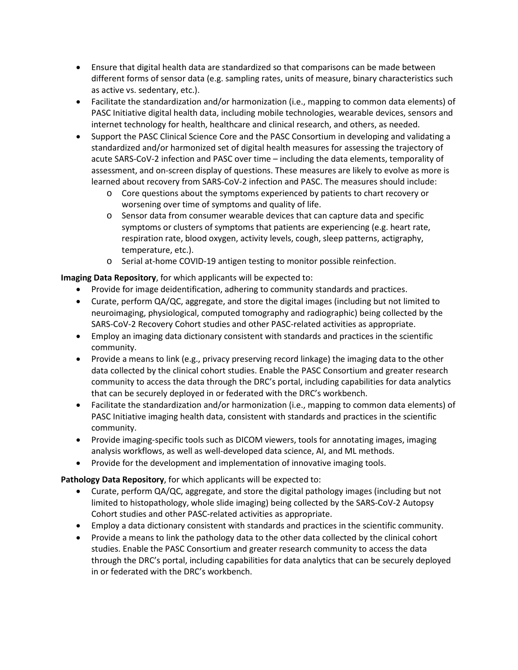- Ensure that digital health data are standardized so that comparisons can be made between different forms of sensor data (e.g. sampling rates, units of measure, binary characteristics such as active vs. sedentary, etc.).
- Facilitate the standardization and/or harmonization (i.e., mapping to common data elements) of PASC Initiative digital health data, including mobile technologies, wearable devices, sensors and internet technology for health, healthcare and clinical research, and others, as needed.
- Support the PASC Clinical Science Core and the PASC Consortium in developing and validating a standardized and/or harmonized set of digital health measures for assessing the trajectory of acute SARS-CoV-2 infection and PASC over time – including the data elements, temporality of assessment, and on-screen display of questions. These measures are likely to evolve as more is learned about recovery from SARS-CoV-2 infection and PASC. The measures should include:
	- o Core questions about the symptoms experienced by patients to chart recovery or worsening over time of symptoms and quality of life.
	- o Sensor data from consumer wearable devices that can capture data and specific symptoms or clusters of symptoms that patients are experiencing (e.g. heart rate, respiration rate, blood oxygen, activity levels, cough, sleep patterns, actigraphy, temperature, etc.).
	- o Serial at-home COVID-19 antigen testing to monitor possible reinfection.

**Imaging Data Repository**, for which applicants will be expected to:

- Provide for image deidentification, adhering to community standards and practices.
- Curate, perform QA/QC, aggregate, and store the digital images (including but not limited to neuroimaging, physiological, computed tomography and radiographic) being collected by the SARS-CoV-2 Recovery Cohort studies and other PASC-related activities as appropriate.
- Employ an imaging data dictionary consistent with standards and practices in the scientific community.
- Provide a means to link (e.g., privacy preserving record linkage) the imaging data to the other data collected by the clinical cohort studies. Enable the PASC Consortium and greater research community to access the data through the DRC's portal, including capabilities for data analytics that can be securely deployed in or federated with the DRC's workbench.
- Facilitate the standardization and/or harmonization (i.e., mapping to common data elements) of PASC Initiative imaging health data, consistent with standards and practices in the scientific community.
- Provide imaging-specific tools such as DICOM viewers, tools for annotating images, imaging analysis workflows, as well as well-developed data science, AI, and ML methods.
- Provide for the development and implementation of innovative imaging tools.

**Pathology Data Repository**, for which applicants will be expected to:

- Curate, perform QA/QC, aggregate, and store the digital pathology images (including but not limited to histopathology, whole slide imaging) being collected by the SARS-CoV-2 Autopsy Cohort studies and other PASC-related activities as appropriate.
- Employ a data dictionary consistent with standards and practices in the scientific community.
- Provide a means to link the pathology data to the other data collected by the clinical cohort studies. Enable the PASC Consortium and greater research community to access the data through the DRC's portal, including capabilities for data analytics that can be securely deployed in or federated with the DRC's workbench.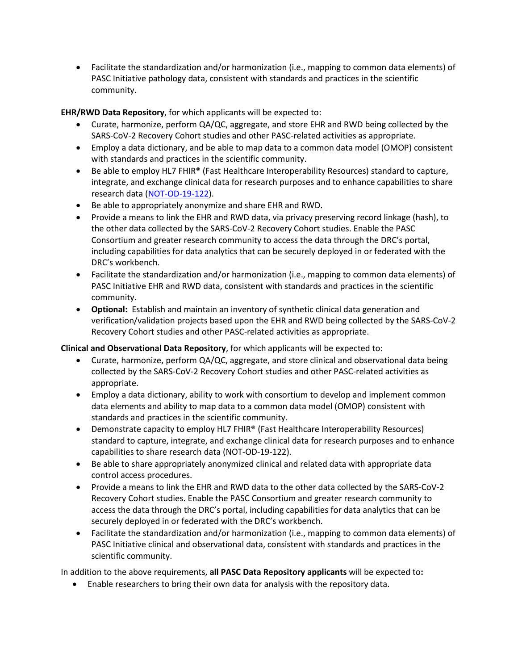• Facilitate the standardization and/or harmonization (i.e., mapping to common data elements) of PASC Initiative pathology data, consistent with standards and practices in the scientific community.

**EHR/RWD Data Repository**, for which applicants will be expected to:

- Curate, harmonize, perform QA/QC, aggregate, and store EHR and RWD being collected by the SARS-CoV-2 Recovery Cohort studies and other PASC-related activities as appropriate.
- Employ a data dictionary, and be able to map data to a common data model (OMOP) consistent with standards and practices in the scientific community.
- Be able to employ HL7 FHIR® (Fast Healthcare Interoperability Resources) standard to capture, integrate, and exchange clinical data for research purposes and to enhance capabilities to share research data [\(NOT-OD-19-122\)](https://grants.nih.gov/grants/guide/notice-files/NOT-OD-19-122.html).
- Be able to appropriately anonymize and share EHR and RWD.
- Provide a means to link the EHR and RWD data, via privacy preserving record linkage (hash), to the other data collected by the SARS-CoV-2 Recovery Cohort studies. Enable the PASC Consortium and greater research community to access the data through the DRC's portal, including capabilities for data analytics that can be securely deployed in or federated with the DRC's workbench.
- Facilitate the standardization and/or harmonization (i.e., mapping to common data elements) of PASC Initiative EHR and RWD data, consistent with standards and practices in the scientific community.
- **Optional:** Establish and maintain an inventory of synthetic clinical data generation and verification/validation projects based upon the EHR and RWD being collected by the SARS-CoV-2 Recovery Cohort studies and other PASC-related activities as appropriate.

**Clinical and Observational Data Repository**, for which applicants will be expected to:

- Curate, harmonize, perform QA/QC, aggregate, and store clinical and observational data being collected by the SARS-CoV-2 Recovery Cohort studies and other PASC-related activities as appropriate.
- Employ a data dictionary, ability to work with consortium to develop and implement common data elements and ability to map data to a common data model (OMOP) consistent with standards and practices in the scientific community.
- Demonstrate capacity to employ HL7 FHIR® (Fast Healthcare Interoperability Resources) standard to capture, integrate, and exchange clinical data for research purposes and to enhance capabilities to share research data (NOT-OD-19-122).
- Be able to share appropriately anonymized clinical and related data with appropriate data control access procedures.
- Provide a means to link the EHR and RWD data to the other data collected by the SARS-CoV-2 Recovery Cohort studies. Enable the PASC Consortium and greater research community to access the data through the DRC's portal, including capabilities for data analytics that can be securely deployed in or federated with the DRC's workbench.
- Facilitate the standardization and/or harmonization (i.e., mapping to common data elements) of PASC Initiative clinical and observational data, consistent with standards and practices in the scientific community.

In addition to the above requirements, **all PASC Data Repository applicants** will be expected to**:**

• Enable researchers to bring their own data for analysis with the repository data.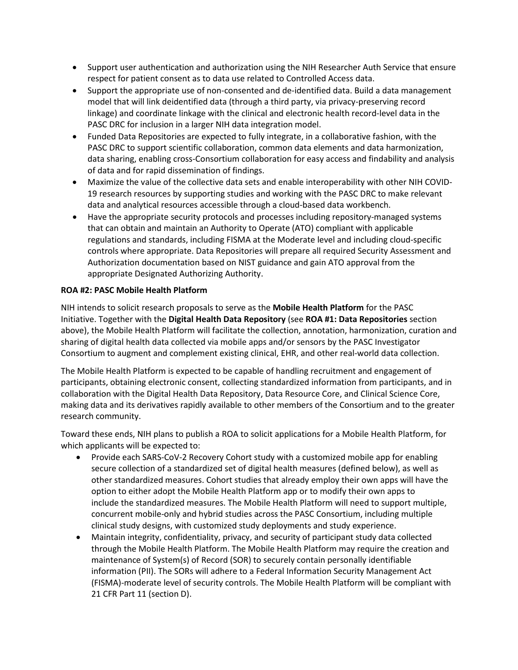- Support user authentication and authorization using the NIH Researcher Auth Service that ensure respect for patient consent as to data use related to Controlled Access data.
- Support the appropriate use of non-consented and de-identified data. Build a data management model that will link deidentified data (through a third party, via privacy-preserving record linkage) and coordinate linkage with the clinical and electronic health record-level data in the PASC DRC for inclusion in a larger NIH data integration model.
- Funded Data Repositories are expected to fully integrate, in a collaborative fashion, with the PASC DRC to support scientific collaboration, common data elements and data harmonization, data sharing, enabling cross-Consortium collaboration for easy access and findability and analysis of data and for rapid dissemination of findings.
- Maximize the value of the collective data sets and enable interoperability with other NIH COVID-19 research resources by supporting studies and working with the PASC DRC to make relevant data and analytical resources accessible through a cloud-based data workbench.
- Have the appropriate security protocols and processes including repository-managed systems that can obtain and maintain an Authority to Operate (ATO) compliant with applicable regulations and standards, including FISMA at the Moderate level and including cloud-specific controls where appropriate. Data Repositories will prepare all required Security Assessment and Authorization documentation based on NIST guidance and gain ATO approval from the appropriate Designated Authorizing Authority.

### **ROA #2: PASC Mobile Health Platform**

NIH intends to solicit research proposals to serve as the **Mobile Health Platform** for the PASC Initiative. Together with the **Digital Health Data Repository** (see **ROA #1: Data Repositories** section above), the Mobile Health Platform will facilitate the collection, annotation, harmonization, curation and sharing of digital health data collected via mobile apps and/or sensors by the PASC Investigator Consortium to augment and complement existing clinical, EHR, and other real-world data collection.

The Mobile Health Platform is expected to be capable of handling recruitment and engagement of participants, obtaining electronic consent, collecting standardized information from participants, and in collaboration with the Digital Health Data Repository, Data Resource Core, and Clinical Science Core, making data and its derivatives rapidly available to other members of the Consortium and to the greater research community.

Toward these ends, NIH plans to publish a ROA to solicit applications for a Mobile Health Platform, for which applicants will be expected to:

- Provide each SARS-CoV-2 Recovery Cohort study with a customized mobile app for enabling secure collection of a standardized set of digital health measures (defined below), as well as other standardized measures. Cohort studies that already employ their own apps will have the option to either adopt the Mobile Health Platform app or to modify their own apps to include the standardized measures. The Mobile Health Platform will need to support multiple, concurrent mobile-only and hybrid studies across the PASC Consortium, including multiple clinical study designs, with customized study deployments and study experience.
- Maintain integrity, confidentiality, privacy, and security of participant study data collected through the Mobile Health Platform. The Mobile Health Platform may require the creation and maintenance of System(s) of Record (SOR) to securely contain personally identifiable information (PII). The SORs will adhere to a Federal Information Security Management Act (FISMA)-moderate level of security controls. The Mobile Health Platform will be compliant with 21 CFR Part 11 (section D).